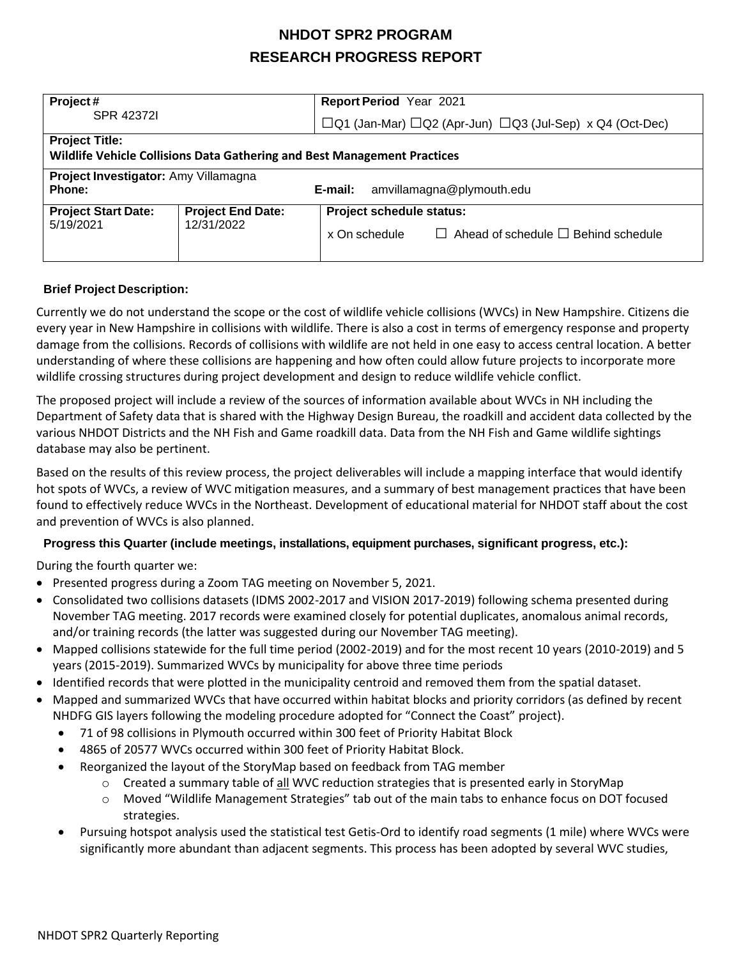## **NHDOT SPR2 PROGRAM RESEARCH PROGRESS REPORT**

| Project#                                                                                          |                                        | <b>Report Period Year 2021</b>                                                               |  |  |
|---------------------------------------------------------------------------------------------------|----------------------------------------|----------------------------------------------------------------------------------------------|--|--|
| SPR 42372L                                                                                        |                                        | $\Box$ Q1 (Jan-Mar) $\Box$ Q2 (Apr-Jun) $\Box$ Q3 (Jul-Sep) x Q4 (Oct-Dec)                   |  |  |
| <b>Project Title:</b><br>Wildlife Vehicle Collisions Data Gathering and Best Management Practices |                                        |                                                                                              |  |  |
| Project Investigator: Amy Villamagna<br><b>Phone:</b>                                             |                                        | amvillamagna@plymouth.edu<br>E-mail:                                                         |  |  |
| <b>Project Start Date:</b><br>5/19/2021                                                           | <b>Project End Date:</b><br>12/31/2022 | Project schedule status:<br>$\Box$ Ahead of schedule $\Box$ Behind schedule<br>x On schedule |  |  |

#### **Brief Project Description:**

Currently we do not understand the scope or the cost of wildlife vehicle collisions (WVCs) in New Hampshire. Citizens die every year in New Hampshire in collisions with wildlife. There is also a cost in terms of emergency response and property damage from the collisions. Records of collisions with wildlife are not held in one easy to access central location. A better understanding of where these collisions are happening and how often could allow future projects to incorporate more wildlife crossing structures during project development and design to reduce wildlife vehicle conflict.

The proposed project will include a review of the sources of information available about WVCs in NH including the Department of Safety data that is shared with the Highway Design Bureau, the roadkill and accident data collected by the various NHDOT Districts and the NH Fish and Game roadkill data. Data from the NH Fish and Game wildlife sightings database may also be pertinent.

Based on the results of this review process, the project deliverables will include a mapping interface that would identify hot spots of WVCs, a review of WVC mitigation measures, and a summary of best management practices that have been found to effectively reduce WVCs in the Northeast. Development of educational material for NHDOT staff about the cost and prevention of WVCs is also planned.

## **Progress this Quarter (include meetings, installations, equipment purchases, significant progress, etc.):**

During the fourth quarter we:

- Presented progress during a Zoom TAG meeting on November 5, 2021.
- Consolidated two collisions datasets (IDMS 2002-2017 and VISION 2017-2019) following schema presented during November TAG meeting. 2017 records were examined closely for potential duplicates, anomalous animal records, and/or training records (the latter was suggested during our November TAG meeting).
- Mapped collisions statewide for the full time period (2002-2019) and for the most recent 10 years (2010-2019) and 5 years (2015-2019). Summarized WVCs by municipality for above three time periods
- Identified records that were plotted in the municipality centroid and removed them from the spatial dataset.
- Mapped and summarized WVCs that have occurred within habitat blocks and priority corridors (as defined by recent NHDFG GIS layers following the modeling procedure adopted for "Connect the Coast" project).
	- 71 of 98 collisions in Plymouth occurred within 300 feet of Priority Habitat Block
	- 4865 of 20577 WVCs occurred within 300 feet of Priority Habitat Block.
	- Reorganized the layout of the StoryMap based on feedback from TAG member
		- $\circ$  Created a summary table of <u>all</u> WVC reduction strategies that is presented early in StoryMap
		- o Moved "Wildlife Management Strategies" tab out of the main tabs to enhance focus on DOT focused strategies.
	- Pursuing hotspot analysis used the statistical test Getis-Ord to identify road segments (1 mile) where WVCs were significantly more abundant than adjacent segments. This process has been adopted by several WVC studies,